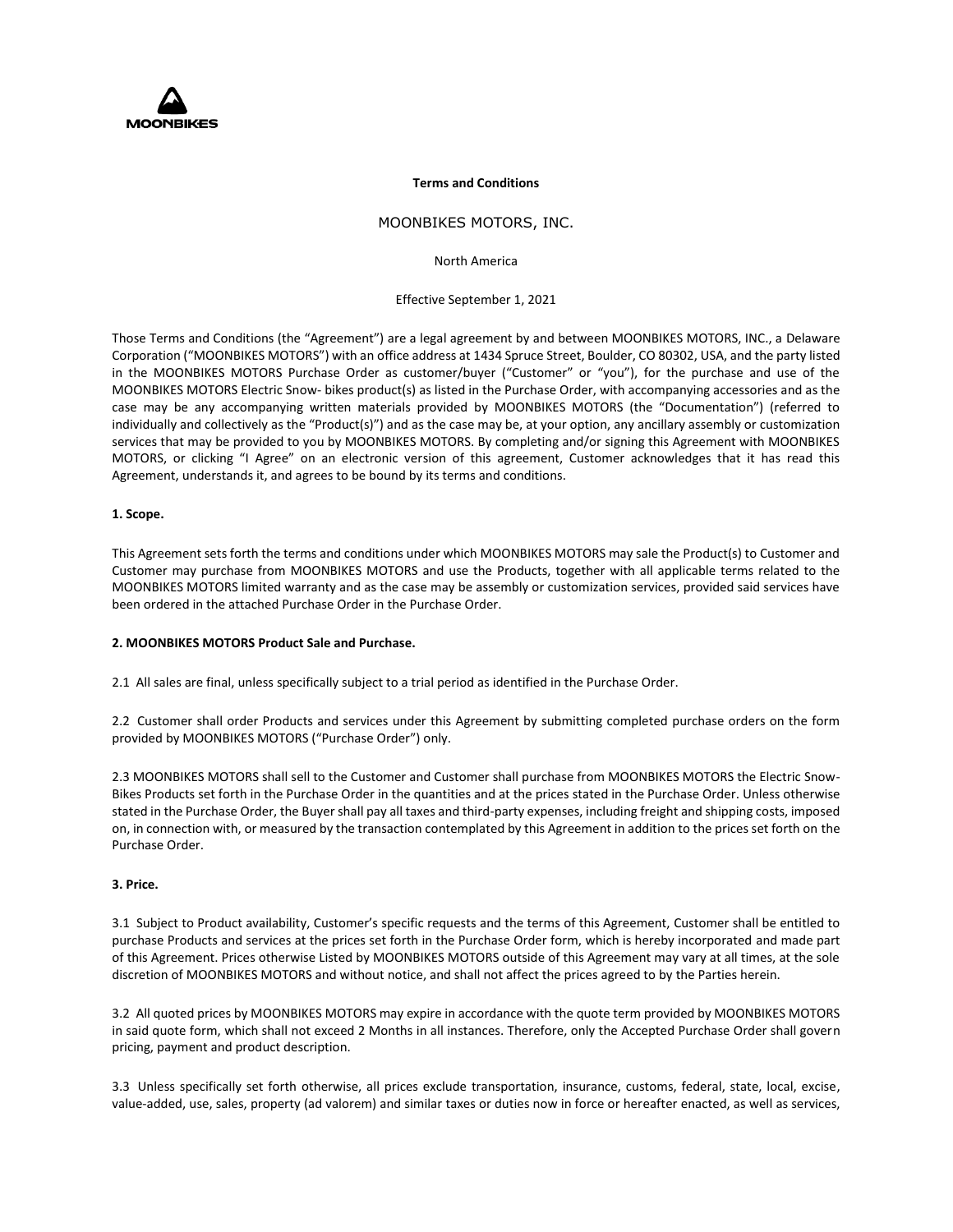

#### **Terms and Conditions**

# MOONBIKES MOTORS, INC.

North America

Effective September 1, 2021

Those Terms and Conditions (the "Agreement") are a legal agreement by and between MOONBIKES MOTORS, INC., a Delaware Corporation ("MOONBIKES MOTORS") with an office address at 1434 Spruce Street, Boulder, CO 80302, USA, and the party listed in the MOONBIKES MOTORS Purchase Order as customer/buyer ("Customer" or "you"), for the purchase and use of the MOONBIKES MOTORS Electric Snow- bikes product(s) as listed in the Purchase Order, with accompanying accessories and as the case may be any accompanying written materials provided by MOONBIKES MOTORS (the "Documentation") (referred to individually and collectively as the "Product(s)") and as the case may be, at your option, any ancillary assembly or customization services that may be provided to you by MOONBIKES MOTORS. By completing and/or signing this Agreement with MOONBIKES MOTORS, or clicking "I Agree" on an electronic version of this agreement, Customer acknowledges that it has read this Agreement, understands it, and agrees to be bound by its terms and conditions.

## **1. Scope.**

This Agreement sets forth the terms and conditions under which MOONBIKES MOTORS may sale the Product(s) to Customer and Customer may purchase from MOONBIKES MOTORS and use the Products, together with all applicable terms related to the MOONBIKES MOTORS limited warranty and as the case may be assembly or customization services, provided said services have been ordered in the attached Purchase Order in the Purchase Order.

### **2. MOONBIKES MOTORS Product Sale and Purchase.**

2.1 All sales are final, unless specifically subject to a trial period as identified in the Purchase Order.

2.2 Customer shall order Products and services under this Agreement by submitting completed purchase orders on the form provided by MOONBIKES MOTORS ("Purchase Order") only.

2.3 MOONBIKES MOTORS shall sell to the Customer and Customer shall purchase from MOONBIKES MOTORS the Electric Snow-Bikes Products set forth in the Purchase Order in the quantities and at the prices stated in the Purchase Order. Unless otherwise stated in the Purchase Order, the Buyer shall pay all taxes and third-party expenses, including freight and shipping costs, imposed on, in connection with, or measured by the transaction contemplated by this Agreement in addition to the prices set forth on the Purchase Order.

## **3. Price.**

3.1 Subject to Product availability, Customer's specific requests and the terms of this Agreement, Customer shall be entitled to purchase Products and services at the prices set forth in the Purchase Order form, which is hereby incorporated and made part of this Agreement. Prices otherwise Listed by MOONBIKES MOTORS outside of this Agreement may vary at all times, at the sole discretion of MOONBIKES MOTORS and without notice, and shall not affect the prices agreed to by the Parties herein.

3.2 All quoted prices by MOONBIKES MOTORS may expire in accordance with the quote term provided by MOONBIKES MOTORS in said quote form, which shall not exceed 2 Months in all instances. Therefore, only the Accepted Purchase Order shall govern pricing, payment and product description.

3.3 Unless specifically set forth otherwise, all prices exclude transportation, insurance, customs, federal, state, local, excise, value-added, use, sales, property (ad valorem) and similar taxes or duties now in force or hereafter enacted, as well as services,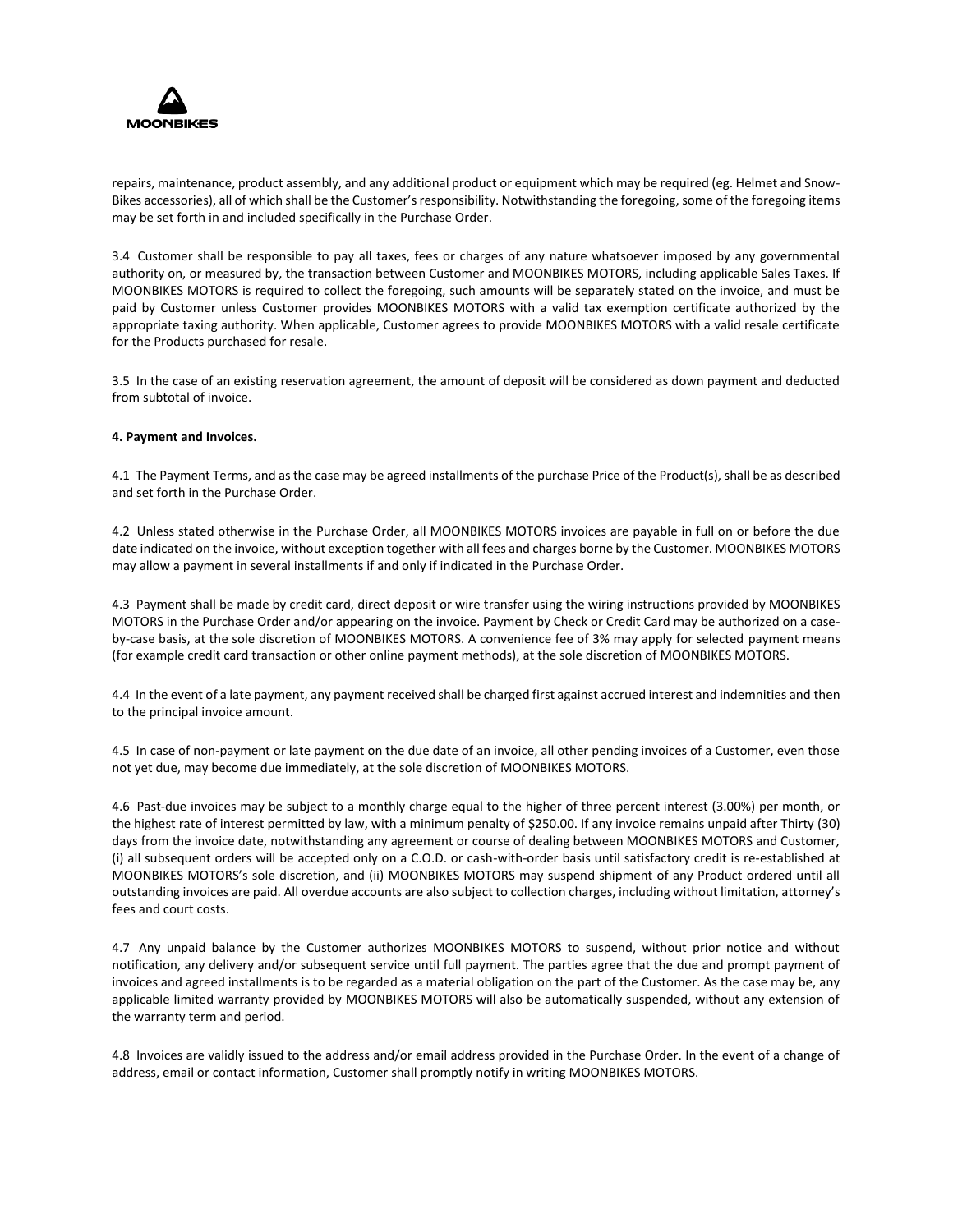

repairs, maintenance, product assembly, and any additional product or equipment which may be required (eg. Helmet and Snow-Bikes accessories), all of which shall be the Customer's responsibility. Notwithstanding the foregoing, some of the foregoing items may be set forth in and included specifically in the Purchase Order.

3.4 Customer shall be responsible to pay all taxes, fees or charges of any nature whatsoever imposed by any governmental authority on, or measured by, the transaction between Customer and MOONBIKES MOTORS, including applicable Sales Taxes. If MOONBIKES MOTORS is required to collect the foregoing, such amounts will be separately stated on the invoice, and must be paid by Customer unless Customer provides MOONBIKES MOTORS with a valid tax exemption certificate authorized by the appropriate taxing authority. When applicable, Customer agrees to provide MOONBIKES MOTORS with a valid resale certificate for the Products purchased for resale.

3.5 In the case of an existing reservation agreement, the amount of deposit will be considered as down payment and deducted from subtotal of invoice.

### **4. Payment and Invoices.**

4.1 The Payment Terms, and as the case may be agreed installments of the purchase Price of the Product(s), shall be as described and set forth in the Purchase Order.

4.2 Unless stated otherwise in the Purchase Order, all MOONBIKES MOTORS invoices are payable in full on or before the due date indicated on the invoice, without exception together with all fees and charges borne by the Customer. MOONBIKES MOTORS may allow a payment in several installments if and only if indicated in the Purchase Order.

4.3 Payment shall be made by credit card, direct deposit or wire transfer using the wiring instructions provided by MOONBIKES MOTORS in the Purchase Order and/or appearing on the invoice. Payment by Check or Credit Card may be authorized on a caseby-case basis, at the sole discretion of MOONBIKES MOTORS. A convenience fee of 3% may apply for selected payment means (for example credit card transaction or other online payment methods), at the sole discretion of MOONBIKES MOTORS.

4.4 In the event of a late payment, any payment received shall be charged first against accrued interest and indemnities and then to the principal invoice amount.

4.5 In case of non-payment or late payment on the due date of an invoice, all other pending invoices of a Customer, even those not yet due, may become due immediately, at the sole discretion of MOONBIKES MOTORS.

4.6 Past-due invoices may be subject to a monthly charge equal to the higher of three percent interest (3.00%) per month, or the highest rate of interest permitted by law, with a minimum penalty of \$250.00. If any invoice remains unpaid after Thirty (30) days from the invoice date, notwithstanding any agreement or course of dealing between MOONBIKES MOTORS and Customer, (i) all subsequent orders will be accepted only on a C.O.D. or cash-with-order basis until satisfactory credit is re-established at MOONBIKES MOTORS's sole discretion, and (ii) MOONBIKES MOTORS may suspend shipment of any Product ordered until all outstanding invoices are paid. All overdue accounts are also subject to collection charges, including without limitation, attorney's fees and court costs.

4.7 Any unpaid balance by the Customer authorizes MOONBIKES MOTORS to suspend, without prior notice and without notification, any delivery and/or subsequent service until full payment. The parties agree that the due and prompt payment of invoices and agreed installments is to be regarded as a material obligation on the part of the Customer. As the case may be, any applicable limited warranty provided by MOONBIKES MOTORS will also be automatically suspended, without any extension of the warranty term and period.

4.8 Invoices are validly issued to the address and/or email address provided in the Purchase Order. In the event of a change of address, email or contact information, Customer shall promptly notify in writing MOONBIKES MOTORS.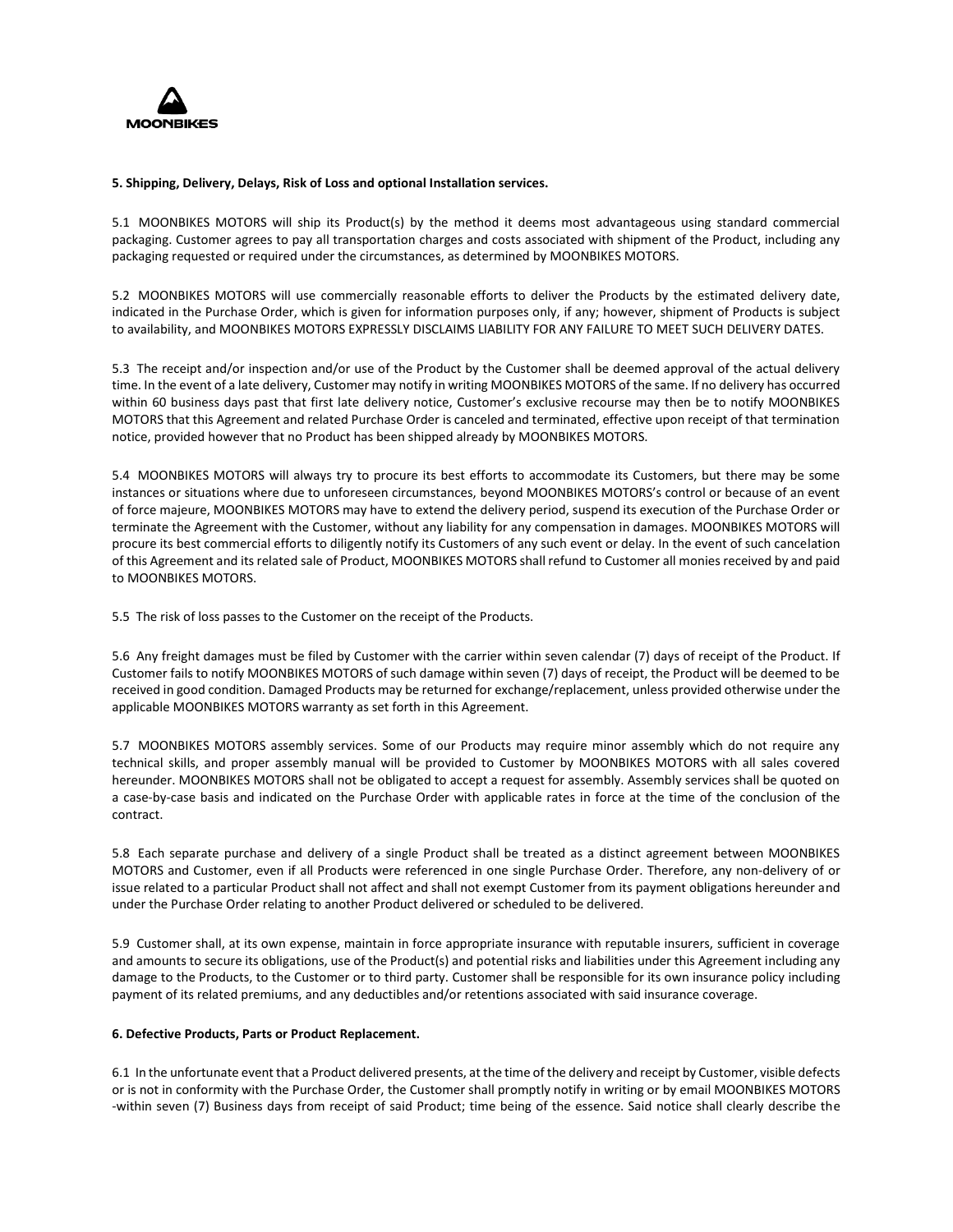

## **5. Shipping, Delivery, Delays, Risk of Loss and optional Installation services.**

5.1 MOONBIKES MOTORS will ship its Product(s) by the method it deems most advantageous using standard commercial packaging. Customer agrees to pay all transportation charges and costs associated with shipment of the Product, including any packaging requested or required under the circumstances, as determined by MOONBIKES MOTORS.

5.2 MOONBIKES MOTORS will use commercially reasonable efforts to deliver the Products by the estimated delivery date, indicated in the Purchase Order, which is given for information purposes only, if any; however, shipment of Products is subject to availability, and MOONBIKES MOTORS EXPRESSLY DISCLAIMS LIABILITY FOR ANY FAILURE TO MEET SUCH DELIVERY DATES.

5.3 The receipt and/or inspection and/or use of the Product by the Customer shall be deemed approval of the actual delivery time. In the event of a late delivery, Customer may notify in writing MOONBIKES MOTORS of the same. If no delivery has occurred within 60 business days past that first late delivery notice, Customer's exclusive recourse may then be to notify MOONBIKES MOTORS that this Agreement and related Purchase Order is canceled and terminated, effective upon receipt of that termination notice, provided however that no Product has been shipped already by MOONBIKES MOTORS.

5.4 MOONBIKES MOTORS will always try to procure its best efforts to accommodate its Customers, but there may be some instances or situations where due to unforeseen circumstances, beyond MOONBIKES MOTORS's control or because of an event of force majeure, MOONBIKES MOTORS may have to extend the delivery period, suspend its execution of the Purchase Order or terminate the Agreement with the Customer, without any liability for any compensation in damages. MOONBIKES MOTORS will procure its best commercial efforts to diligently notify its Customers of any such event or delay. In the event of such cancelation of this Agreement and its related sale of Product, MOONBIKES MOTORS shall refund to Customer all monies received by and paid to MOONBIKES MOTORS.

5.5 The risk of loss passes to the Customer on the receipt of the Products.

5.6 Any freight damages must be filed by Customer with the carrier within seven calendar (7) days of receipt of the Product. If Customer fails to notify MOONBIKES MOTORS of such damage within seven (7) days of receipt, the Product will be deemed to be received in good condition. Damaged Products may be returned for exchange/replacement, unless provided otherwise under the applicable MOONBIKES MOTORS warranty as set forth in this Agreement.

5.7 MOONBIKES MOTORS assembly services. Some of our Products may require minor assembly which do not require any technical skills, and proper assembly manual will be provided to Customer by MOONBIKES MOTORS with all sales covered hereunder. MOONBIKES MOTORS shall not be obligated to accept a request for assembly. Assembly services shall be quoted on a case-by-case basis and indicated on the Purchase Order with applicable rates in force at the time of the conclusion of the contract.

5.8 Each separate purchase and delivery of a single Product shall be treated as a distinct agreement between MOONBIKES MOTORS and Customer, even if all Products were referenced in one single Purchase Order. Therefore, any non-delivery of or issue related to a particular Product shall not affect and shall not exempt Customer from its payment obligations hereunder and under the Purchase Order relating to another Product delivered or scheduled to be delivered.

5.9 Customer shall, at its own expense, maintain in force appropriate insurance with reputable insurers, sufficient in coverage and amounts to secure its obligations, use of the Product(s) and potential risks and liabilities under this Agreement including any damage to the Products, to the Customer or to third party. Customer shall be responsible for its own insurance policy including payment of its related premiums, and any deductibles and/or retentions associated with said insurance coverage.

### **6. Defective Products, Parts or Product Replacement.**

6.1 In the unfortunate event that a Product delivered presents, at the time of the delivery and receipt by Customer, visible defects or is not in conformity with the Purchase Order, the Customer shall promptly notify in writing or by email MOONBIKES MOTORS -within seven (7) Business days from receipt of said Product; time being of the essence. Said notice shall clearly describe the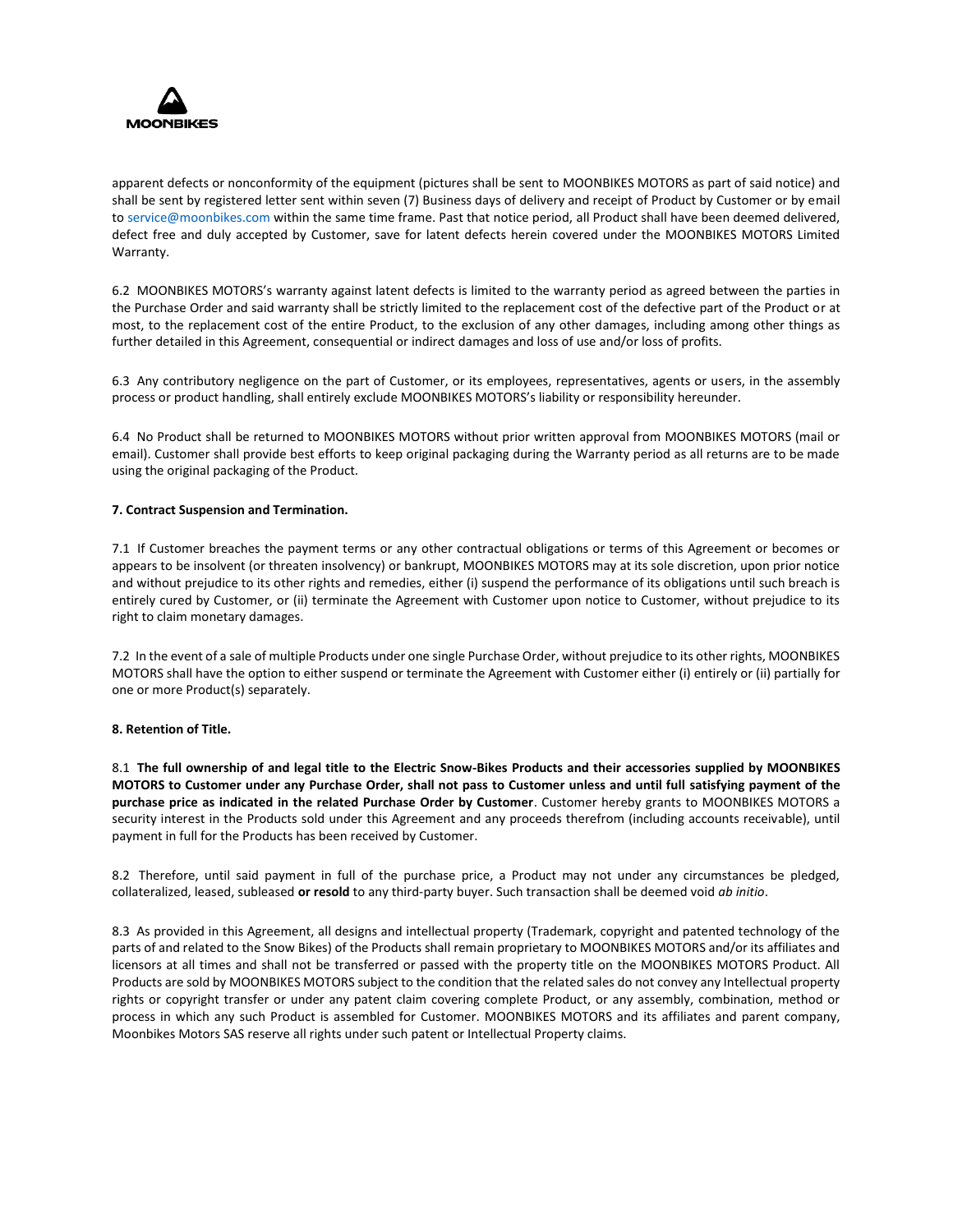

apparent defects or nonconformity of the equipment (pictures shall be sent to MOONBIKES MOTORS as part of said notice) and shall be sent by registered letter sent within seven (7) Business days of delivery and receipt of Product by Customer or by email to service@moonbikes.com within the same time frame. Past that notice period, all Product shall have been deemed delivered, defect free and duly accepted by Customer, save for latent defects herein covered under the MOONBIKES MOTORS Limited Warranty.

6.2 MOONBIKES MOTORS's warranty against latent defects is limited to the warranty period as agreed between the parties in the Purchase Order and said warranty shall be strictly limited to the replacement cost of the defective part of the Product or at most, to the replacement cost of the entire Product, to the exclusion of any other damages, including among other things as further detailed in this Agreement, consequential or indirect damages and loss of use and/or loss of profits.

6.3 Any contributory negligence on the part of Customer, or its employees, representatives, agents or users, in the assembly process or product handling, shall entirely exclude MOONBIKES MOTORS's liability or responsibility hereunder.

6.4 No Product shall be returned to MOONBIKES MOTORS without prior written approval from MOONBIKES MOTORS (mail or email). Customer shall provide best efforts to keep original packaging during the Warranty period as all returns are to be made using the original packaging of the Product.

## **7. Contract Suspension and Termination.**

7.1 If Customer breaches the payment terms or any other contractual obligations or terms of this Agreement or becomes or appears to be insolvent (or threaten insolvency) or bankrupt, MOONBIKES MOTORS may at its sole discretion, upon prior notice and without prejudice to its other rights and remedies, either (i) suspend the performance of its obligations until such breach is entirely cured by Customer, or (ii) terminate the Agreement with Customer upon notice to Customer, without prejudice to its right to claim monetary damages.

7.2 In the event of a sale of multiple Products under one single Purchase Order, without prejudice to its other rights, MOONBIKES MOTORS shall have the option to either suspend or terminate the Agreement with Customer either (i) entirely or (ii) partially for one or more Product(s) separately.

### **8. Retention of Title.**

8.1 **The full ownership of and legal title to the Electric Snow-Bikes Products and their accessories supplied by MOONBIKES MOTORS to Customer under any Purchase Order, shall not pass to Customer unless and until full satisfying payment of the purchase price as indicated in the related Purchase Order by Customer**. Customer hereby grants to MOONBIKES MOTORS a security interest in the Products sold under this Agreement and any proceeds therefrom (including accounts receivable), until payment in full for the Products has been received by Customer.

8.2 Therefore, until said payment in full of the purchase price, a Product may not under any circumstances be pledged, collateralized, leased, subleased **or resold** to any third-party buyer. Such transaction shall be deemed void *ab initio*.

8.3 As provided in this Agreement, all designs and intellectual property (Trademark, copyright and patented technology of the parts of and related to the Snow Bikes) of the Products shall remain proprietary to MOONBIKES MOTORS and/or its affiliates and licensors at all times and shall not be transferred or passed with the property title on the MOONBIKES MOTORS Product. All Products are sold by MOONBIKES MOTORS subject to the condition that the related sales do not convey any Intellectual property rights or copyright transfer or under any patent claim covering complete Product, or any assembly, combination, method or process in which any such Product is assembled for Customer. MOONBIKES MOTORS and its affiliates and parent company, Moonbikes Motors SAS reserve all rights under such patent or Intellectual Property claims.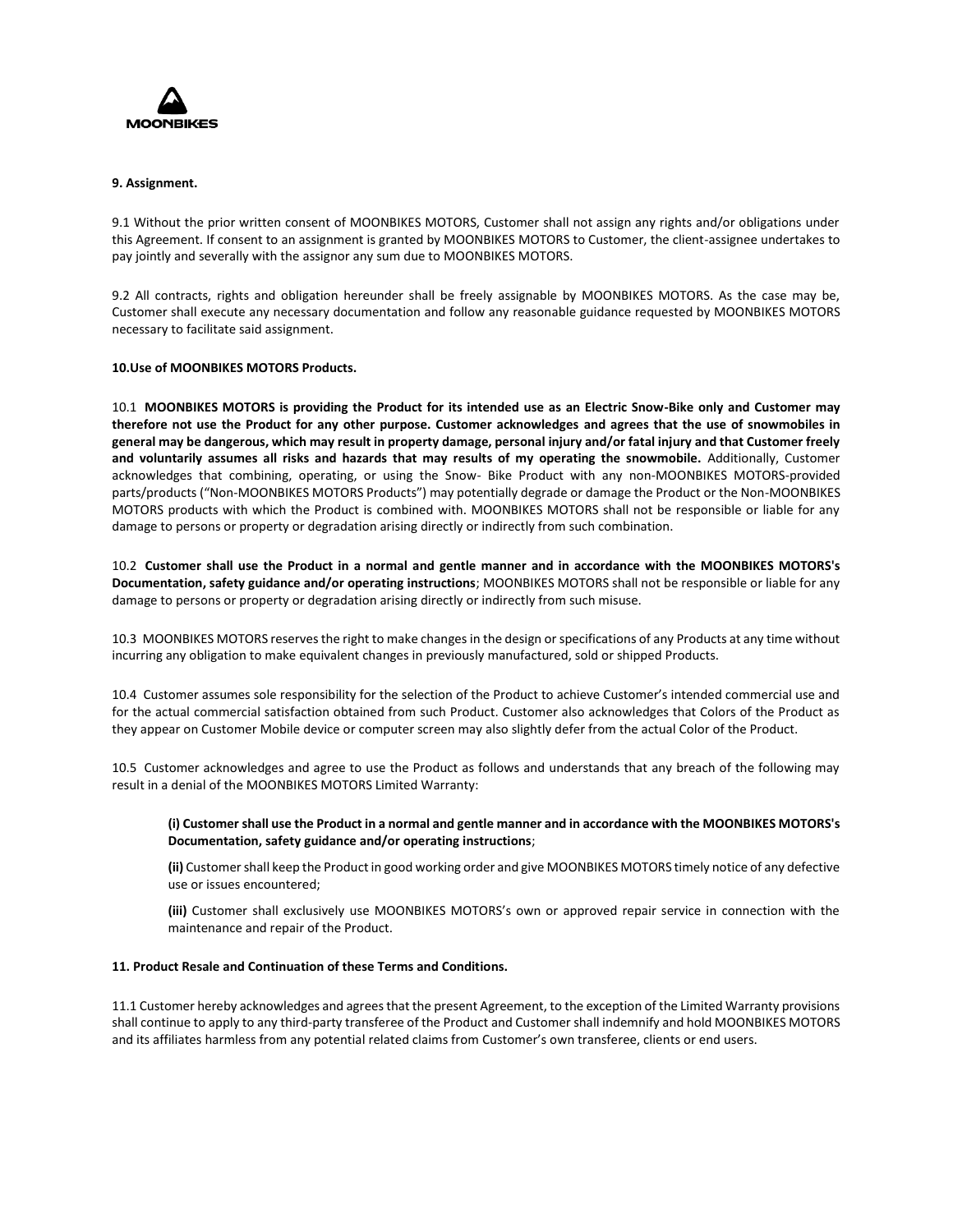

## **9. Assignment.**

9.1 Without the prior written consent of MOONBIKES MOTORS, Customer shall not assign any rights and/or obligations under this Agreement. If consent to an assignment is granted by MOONBIKES MOTORS to Customer, the client-assignee undertakes to pay jointly and severally with the assignor any sum due to MOONBIKES MOTORS.

9.2 All contracts, rights and obligation hereunder shall be freely assignable by MOONBIKES MOTORS. As the case may be, Customer shall execute any necessary documentation and follow any reasonable guidance requested by MOONBIKES MOTORS necessary to facilitate said assignment.

## **10.Use of MOONBIKES MOTORS Products.**

10.1 **MOONBIKES MOTORS is providing the Product for its intended use as an Electric Snow-Bike only and Customer may therefore not use the Product for any other purpose. Customer acknowledges and agrees that the use of snowmobiles in general may be dangerous, which may result in property damage, personal injury and/or fatal injury and that Customer freely and voluntarily assumes all risks and hazards that may results of my operating the snowmobile.** Additionally, Customer acknowledges that combining, operating, or using the Snow- Bike Product with any non-MOONBIKES MOTORS-provided parts/products ("Non-MOONBIKES MOTORS Products") may potentially degrade or damage the Product or the Non-MOONBIKES MOTORS products with which the Product is combined with. MOONBIKES MOTORS shall not be responsible or liable for any damage to persons or property or degradation arising directly or indirectly from such combination.

10.2 **Customer shall use the Product in a normal and gentle manner and in accordance with the MOONBIKES MOTORS's Documentation, safety guidance and/or operating instructions**; MOONBIKES MOTORS shall not be responsible or liable for any damage to persons or property or degradation arising directly or indirectly from such misuse.

10.3 MOONBIKES MOTORS reserves the right to make changes in the design or specifications of any Products at any time without incurring any obligation to make equivalent changes in previously manufactured, sold or shipped Products.

10.4 Customer assumes sole responsibility for the selection of the Product to achieve Customer's intended commercial use and for the actual commercial satisfaction obtained from such Product. Customer also acknowledges that Colors of the Product as they appear on Customer Mobile device or computer screen may also slightly defer from the actual Color of the Product.

10.5 Customer acknowledges and agree to use the Product as follows and understands that any breach of the following may result in a denial of the MOONBIKES MOTORS Limited Warranty:

**(i) Customer shall use the Product in a normal and gentle manner and in accordance with the MOONBIKES MOTORS's Documentation, safety guidance and/or operating instructions**;

**(ii)** Customer shall keep the Product in good working order and give MOONBIKES MOTORS timely notice of any defective use or issues encountered;

**(iii)** Customer shall exclusively use MOONBIKES MOTORS's own or approved repair service in connection with the maintenance and repair of the Product.

## **11. Product Resale and Continuation of these Terms and Conditions.**

11.1 Customer hereby acknowledges and agrees that the present Agreement, to the exception of the Limited Warranty provisions shall continue to apply to any third-party transferee of the Product and Customer shall indemnify and hold MOONBIKES MOTORS and its affiliates harmless from any potential related claims from Customer's own transferee, clients or end users.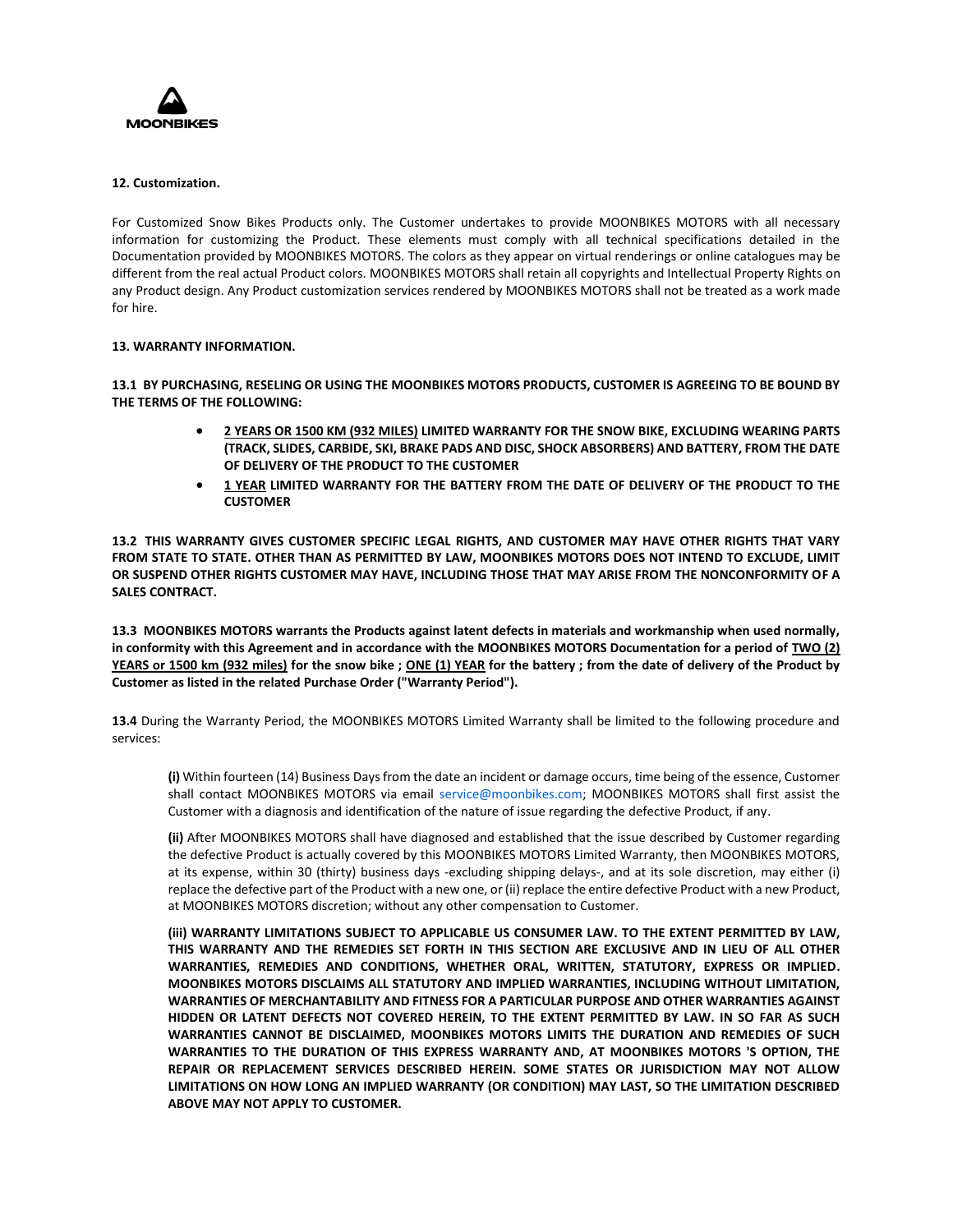

## **12. Customization.**

For Customized Snow Bikes Products only. The Customer undertakes to provide MOONBIKES MOTORS with all necessary information for customizing the Product. These elements must comply with all technical specifications detailed in the Documentation provided by MOONBIKES MOTORS. The colors as they appear on virtual renderings or online catalogues may be different from the real actual Product colors. MOONBIKES MOTORS shall retain all copyrights and Intellectual Property Rights on any Product design. Any Product customization services rendered by MOONBIKES MOTORS shall not be treated as a work made for hire.

## **13. WARRANTY INFORMATION.**

**13.1 BY PURCHASING, RESELING OR USING THE MOONBIKES MOTORS PRODUCTS, CUSTOMER IS AGREEING TO BE BOUND BY THE TERMS OF THE FOLLOWING:** 

- **2 YEARS OR 1500 KM (932 MILES) LIMITED WARRANTY FOR THE SNOW BIKE, EXCLUDING WEARING PARTS (TRACK, SLIDES, CARBIDE, SKI, BRAKE PADS AND DISC, SHOCK ABSORBERS) AND BATTERY, FROM THE DATE OF DELIVERY OF THE PRODUCT TO THE CUSTOMER**
- **1 YEAR LIMITED WARRANTY FOR THE BATTERY FROM THE DATE OF DELIVERY OF THE PRODUCT TO THE CUSTOMER**

**13.2 THIS WARRANTY GIVES CUSTOMER SPECIFIC LEGAL RIGHTS, AND CUSTOMER MAY HAVE OTHER RIGHTS THAT VARY FROM STATE TO STATE. OTHER THAN AS PERMITTED BY LAW, MOONBIKES MOTORS DOES NOT INTEND TO EXCLUDE, LIMIT OR SUSPEND OTHER RIGHTS CUSTOMER MAY HAVE, INCLUDING THOSE THAT MAY ARISE FROM THE NONCONFORMITY OF A SALES CONTRACT.** 

**13.3 MOONBIKES MOTORS warrants the Products against latent defects in materials and workmanship when used normally, in conformity with this Agreement and in accordance with the MOONBIKES MOTORS Documentation for a period of TWO (2) YEARS or 1500 km (932 miles) for the snow bike ; ONE (1) YEAR for the battery ; from the date of delivery of the Product by Customer as listed in the related Purchase Order ("Warranty Period").** 

**13.4** During the Warranty Period, the MOONBIKES MOTORS Limited Warranty shall be limited to the following procedure and services:

**(i)** Within fourteen (14) Business Days from the date an incident or damage occurs, time being of the essence, Customer shall contact MOONBIKES MOTORS via email service@moonbikes.com; MOONBIKES MOTORS shall first assist the Customer with a diagnosis and identification of the nature of issue regarding the defective Product, if any.

**(ii)** After MOONBIKES MOTORS shall have diagnosed and established that the issue described by Customer regarding the defective Product is actually covered by this MOONBIKES MOTORS Limited Warranty, then MOONBIKES MOTORS, at its expense, within 30 (thirty) business days -excluding shipping delays-, and at its sole discretion, may either (i) replace the defective part of the Product with a new one, or (ii) replace the entire defective Product with a new Product, at MOONBIKES MOTORS discretion; without any other compensation to Customer.

**(iii) WARRANTY LIMITATIONS SUBJECT TO APPLICABLE US CONSUMER LAW. TO THE EXTENT PERMITTED BY LAW, THIS WARRANTY AND THE REMEDIES SET FORTH IN THIS SECTION ARE EXCLUSIVE AND IN LIEU OF ALL OTHER WARRANTIES, REMEDIES AND CONDITIONS, WHETHER ORAL, WRITTEN, STATUTORY, EXPRESS OR IMPLIED. MOONBIKES MOTORS DISCLAIMS ALL STATUTORY AND IMPLIED WARRANTIES, INCLUDING WITHOUT LIMITATION, WARRANTIES OF MERCHANTABILITY AND FITNESS FOR A PARTICULAR PURPOSE AND OTHER WARRANTIES AGAINST HIDDEN OR LATENT DEFECTS NOT COVERED HEREIN, TO THE EXTENT PERMITTED BY LAW. IN SO FAR AS SUCH WARRANTIES CANNOT BE DISCLAIMED, MOONBIKES MOTORS LIMITS THE DURATION AND REMEDIES OF SUCH WARRANTIES TO THE DURATION OF THIS EXPRESS WARRANTY AND, AT MOONBIKES MOTORS 'S OPTION, THE REPAIR OR REPLACEMENT SERVICES DESCRIBED HEREIN. SOME STATES OR JURISDICTION MAY NOT ALLOW LIMITATIONS ON HOW LONG AN IMPLIED WARRANTY (OR CONDITION) MAY LAST, SO THE LIMITATION DESCRIBED ABOVE MAY NOT APPLY TO CUSTOMER.**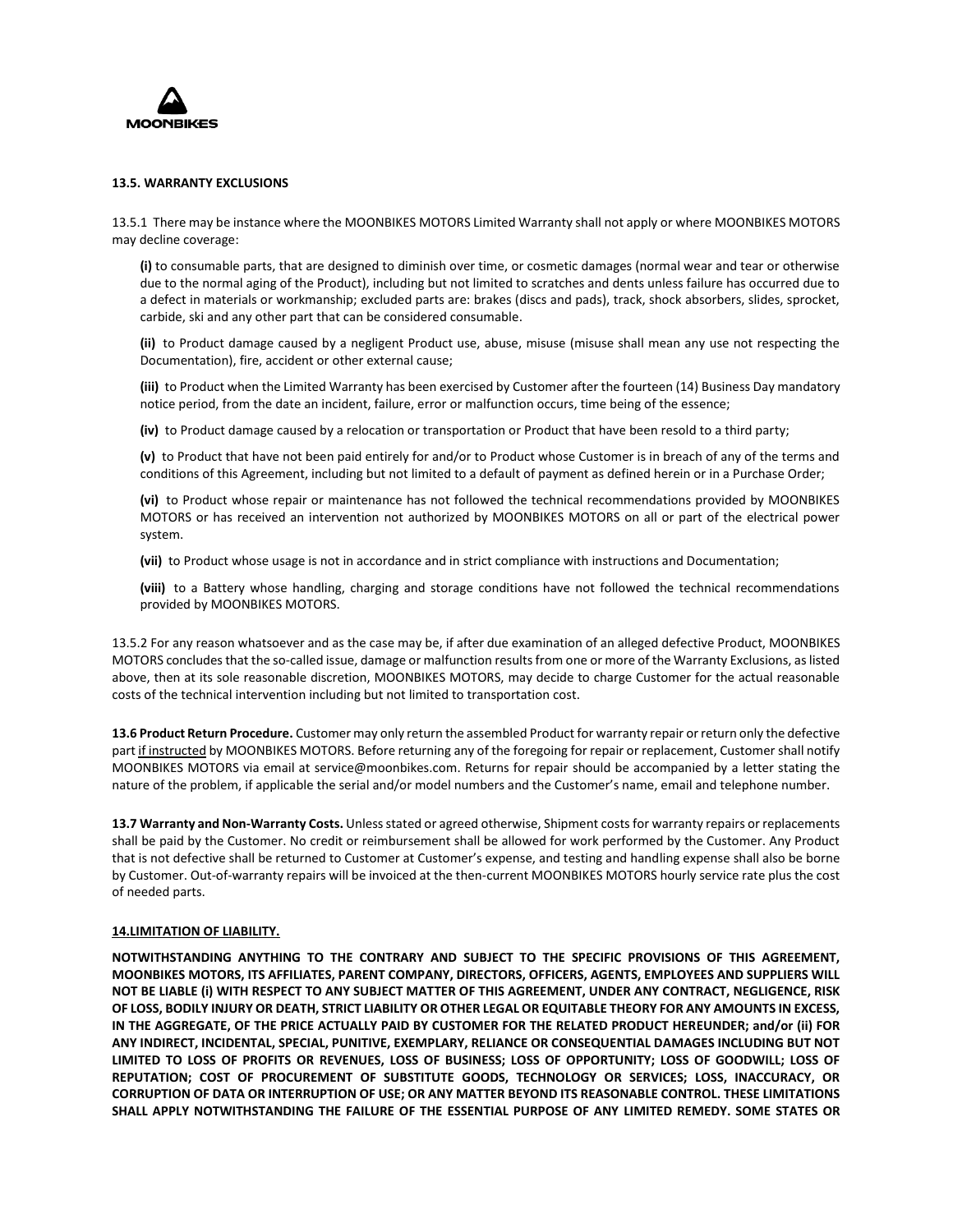

### **13.5. WARRANTY EXCLUSIONS**

13.5.1 There may be instance where the MOONBIKES MOTORS Limited Warranty shall not apply or where MOONBIKES MOTORS may decline coverage:

**(i)** to consumable parts, that are designed to diminish over time, or cosmetic damages (normal wear and tear or otherwise due to the normal aging of the Product), including but not limited to scratches and dents unless failure has occurred due to a defect in materials or workmanship; excluded parts are: brakes (discs and pads), track, shock absorbers, slides, sprocket, carbide, ski and any other part that can be considered consumable.

**(ii)** to Product damage caused by a negligent Product use, abuse, misuse (misuse shall mean any use not respecting the Documentation), fire, accident or other external cause;

**(iii)** to Product when the Limited Warranty has been exercised by Customer after the fourteen (14) Business Day mandatory notice period, from the date an incident, failure, error or malfunction occurs, time being of the essence;

**(iv)** to Product damage caused by a relocation or transportation or Product that have been resold to a third party;

**(v)** to Product that have not been paid entirely for and/or to Product whose Customer is in breach of any of the terms and conditions of this Agreement, including but not limited to a default of payment as defined herein or in a Purchase Order;

**(vi)** to Product whose repair or maintenance has not followed the technical recommendations provided by MOONBIKES MOTORS or has received an intervention not authorized by MOONBIKES MOTORS on all or part of the electrical power system.

**(vii)** to Product whose usage is not in accordance and in strict compliance with instructions and Documentation;

**(viii)** to a Battery whose handling, charging and storage conditions have not followed the technical recommendations provided by MOONBIKES MOTORS.

13.5.2 For any reason whatsoever and as the case may be, if after due examination of an alleged defective Product, MOONBIKES MOTORS concludes that the so-called issue, damage or malfunction results from one or more of the Warranty Exclusions, as listed above, then at its sole reasonable discretion, MOONBIKES MOTORS, may decide to charge Customer for the actual reasonable costs of the technical intervention including but not limited to transportation cost.

**13.6 Product Return Procedure.** Customer may only return the assembled Product for warranty repair or return only the defective part if instructed by MOONBIKES MOTORS. Before returning any of the foregoing for repair or replacement, Customer shall notify MOONBIKES MOTORS via email at service@moonbikes.com. Returns for repair should be accompanied by a letter stating the nature of the problem, if applicable the serial and/or model numbers and the Customer's name, email and telephone number.

**13.7 Warranty and Non-Warranty Costs.** Unless stated or agreed otherwise, Shipment costsfor warranty repairs or replacements shall be paid by the Customer. No credit or reimbursement shall be allowed for work performed by the Customer. Any Product that is not defective shall be returned to Customer at Customer's expense, and testing and handling expense shall also be borne by Customer. Out-of-warranty repairs will be invoiced at the then-current MOONBIKES MOTORS hourly service rate plus the cost of needed parts.

### **14.LIMITATION OF LIABILITY.**

**NOTWITHSTANDING ANYTHING TO THE CONTRARY AND SUBJECT TO THE SPECIFIC PROVISIONS OF THIS AGREEMENT, MOONBIKES MOTORS, ITS AFFILIATES, PARENT COMPANY, DIRECTORS, OFFICERS, AGENTS, EMPLOYEES AND SUPPLIERS WILL NOT BE LIABLE (i) WITH RESPECT TO ANY SUBJECT MATTER OF THIS AGREEMENT, UNDER ANY CONTRACT, NEGLIGENCE, RISK OF LOSS, BODILY INJURY OR DEATH, STRICT LIABILITY OR OTHER LEGAL OR EQUITABLE THEORY FOR ANY AMOUNTS IN EXCESS, IN THE AGGREGATE, OF THE PRICE ACTUALLY PAID BY CUSTOMER FOR THE RELATED PRODUCT HEREUNDER; and/or (ii) FOR ANY INDIRECT, INCIDENTAL, SPECIAL, PUNITIVE, EXEMPLARY, RELIANCE OR CONSEQUENTIAL DAMAGES INCLUDING BUT NOT LIMITED TO LOSS OF PROFITS OR REVENUES, LOSS OF BUSINESS; LOSS OF OPPORTUNITY; LOSS OF GOODWILL; LOSS OF REPUTATION; COST OF PROCUREMENT OF SUBSTITUTE GOODS, TECHNOLOGY OR SERVICES; LOSS, INACCURACY, OR CORRUPTION OF DATA OR INTERRUPTION OF USE; OR ANY MATTER BEYOND ITS REASONABLE CONTROL. THESE LIMITATIONS SHALL APPLY NOTWITHSTANDING THE FAILURE OF THE ESSENTIAL PURPOSE OF ANY LIMITED REMEDY. SOME STATES OR**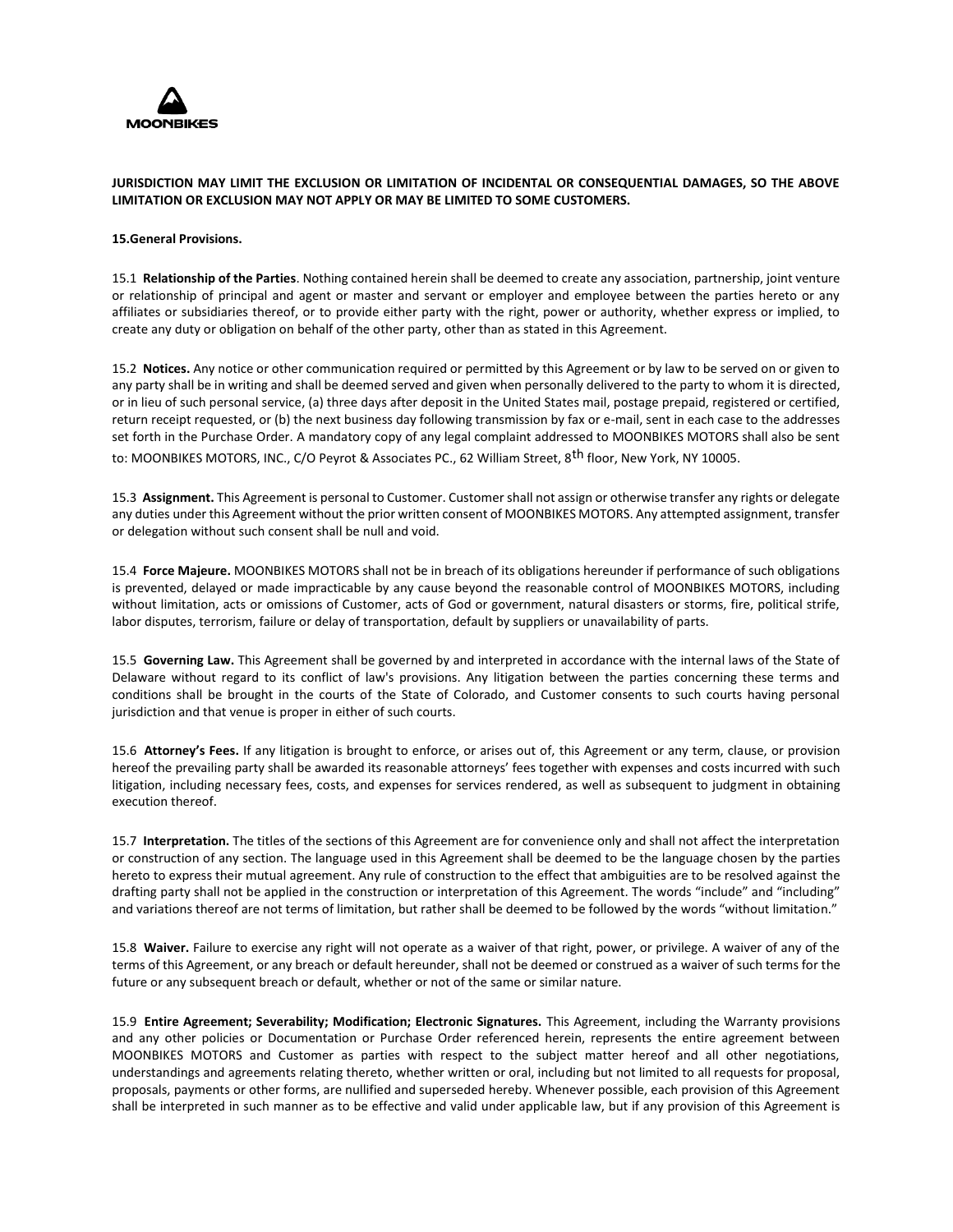

# **JURISDICTION MAY LIMIT THE EXCLUSION OR LIMITATION OF INCIDENTAL OR CONSEQUENTIAL DAMAGES, SO THE ABOVE LIMITATION OR EXCLUSION MAY NOT APPLY OR MAY BE LIMITED TO SOME CUSTOMERS.**

### **15.General Provisions.**

15.1 **Relationship of the Parties**. Nothing contained herein shall be deemed to create any association, partnership, joint venture or relationship of principal and agent or master and servant or employer and employee between the parties hereto or any affiliates or subsidiaries thereof, or to provide either party with the right, power or authority, whether express or implied, to create any duty or obligation on behalf of the other party, other than as stated in this Agreement.

15.2 **Notices.** Any notice or other communication required or permitted by this Agreement or by law to be served on or given to any party shall be in writing and shall be deemed served and given when personally delivered to the party to whom it is directed, or in lieu of such personal service, (a) three days after deposit in the United States mail, postage prepaid, registered or certified, return receipt requested, or (b) the next business day following transmission by fax or e-mail, sent in each case to the addresses set forth in the Purchase Order. A mandatory copy of any legal complaint addressed to MOONBIKES MOTORS shall also be sent

to: MOONBIKES MOTORS, INC., C/O Peyrot & Associates PC., 62 William Street, 8<sup>th</sup> floor, New York, NY 10005.

15.3 **Assignment.** This Agreement is personal to Customer. Customer shall not assign or otherwise transfer any rights or delegate any duties under this Agreement without the prior written consent of MOONBIKES MOTORS. Any attempted assignment, transfer or delegation without such consent shall be null and void.

15.4 **Force Majeure.** MOONBIKES MOTORS shall not be in breach of its obligations hereunder if performance of such obligations is prevented, delayed or made impracticable by any cause beyond the reasonable control of MOONBIKES MOTORS, including without limitation, acts or omissions of Customer, acts of God or government, natural disasters or storms, fire, political strife, labor disputes, terrorism, failure or delay of transportation, default by suppliers or unavailability of parts.

15.5 **Governing Law.** This Agreement shall be governed by and interpreted in accordance with the internal laws of the State of Delaware without regard to its conflict of law's provisions. Any litigation between the parties concerning these terms and conditions shall be brought in the courts of the State of Colorado, and Customer consents to such courts having personal jurisdiction and that venue is proper in either of such courts.

15.6 **Attorney's Fees.** If any litigation is brought to enforce, or arises out of, this Agreement or any term, clause, or provision hereof the prevailing party shall be awarded its reasonable attorneys' fees together with expenses and costs incurred with such litigation, including necessary fees, costs, and expenses for services rendered, as well as subsequent to judgment in obtaining execution thereof.

15.7 **Interpretation.** The titles of the sections of this Agreement are for convenience only and shall not affect the interpretation or construction of any section. The language used in this Agreement shall be deemed to be the language chosen by the parties hereto to express their mutual agreement. Any rule of construction to the effect that ambiguities are to be resolved against the drafting party shall not be applied in the construction or interpretation of this Agreement. The words "include" and "including" and variations thereof are not terms of limitation, but rather shall be deemed to be followed by the words "without limitation."

15.8 **Waiver.** Failure to exercise any right will not operate as a waiver of that right, power, or privilege. A waiver of any of the terms of this Agreement, or any breach or default hereunder, shall not be deemed or construed as a waiver of such terms for the future or any subsequent breach or default, whether or not of the same or similar nature.

15.9 **Entire Agreement; Severability; Modification; Electronic Signatures.** This Agreement, including the Warranty provisions and any other policies or Documentation or Purchase Order referenced herein, represents the entire agreement between MOONBIKES MOTORS and Customer as parties with respect to the subject matter hereof and all other negotiations, understandings and agreements relating thereto, whether written or oral, including but not limited to all requests for proposal, proposals, payments or other forms, are nullified and superseded hereby. Whenever possible, each provision of this Agreement shall be interpreted in such manner as to be effective and valid under applicable law, but if any provision of this Agreement is